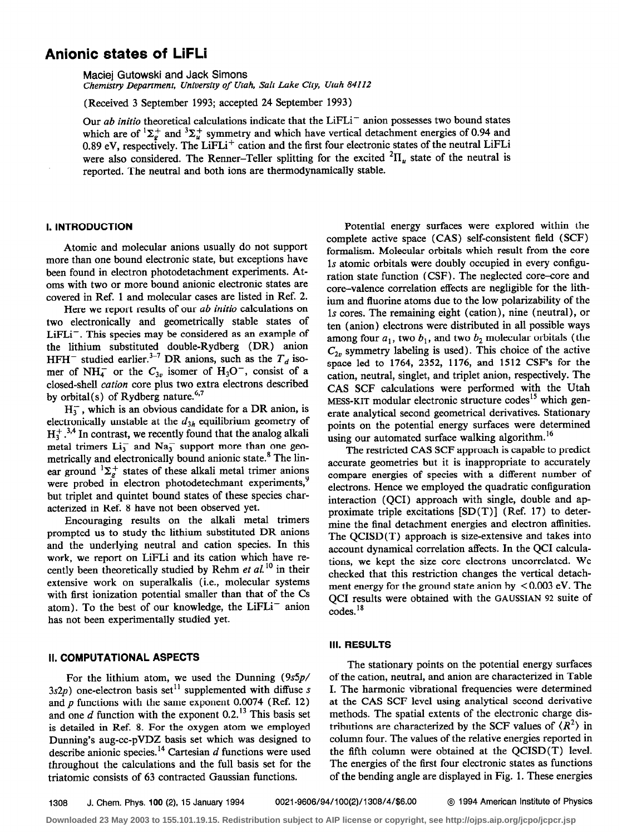# Anionic states of LiFLi

Maciej Gutowski and Jack Simons Chemistry Department, University of Utah, Salt Lake City, Utah 84112

(Received 3 September 1993; accepted 24 September 1993)

Our ab initio theoretical calculations indicate that the LiFLi<sup>-</sup> anion possesses two bound states which are of  ${}^{1}\Sigma_{g}^{+}$  and  ${}^{3}\Sigma_{u}^{+}$  symmetry and which have vertical detachment energies of 0.94 and 0.89 eV, respectively. The LiFLi<sup>+</sup> cation and the first four electronic states of the neutral LiFLi were also considered. The Renner-Teller splitting for the excited  ${}^{2}H_{\mu}$  state of the neutral is reported. The neutral and both ions are thermodynamically stable.

# I. INTRODUCTION

Atomic and molecular anions usually do not support more than one bound electronic state, but exceptions have been found in electron photodetachment experiments. Atoms with two or more bound anionic electronic states are covered in Ref. 1 and molecular cases are listed in Ref. 2.

Here we report results of our *ab initio* calculations on two electronically and geometrically stable states of  $LiFLi^-$ . This species may be considered as an example of the lithium substituted double-Rydberg (DR) anion HFH<sup>-</sup> studied earlier.<sup>3-7</sup> DR anions, such as the  $T_d$  isomer of NH $_4^-$  or the  $C_{3v}$  isomer of H<sub>3</sub>O<sup>-</sup>, consist of a closed-shell cation core plus two extra electrons described by orbital(s) of Rydberg nature.<sup>9,7</sup>

 $H_3^-$ , which is an obvious candidate for a DR anion, is electronically unstable at the  $d_{3h}$  equilibrium geometry of  $H_3^+$ .<sup>3,4</sup> In contrast, we recently found that the analog alkali metal trimers  $Li_3^-$  and  $Na_3^-$  support more than one geometrically and electronically bound anionic state.<sup>8</sup> The linear ground  ${}^{1}\Sigma_{g}^{+}$  states of these alkali metal trimer anions were probed in electron photodetechmant experiments,<sup>9</sup> but triplet and quintet bound states of these species characterized in Ref. 8 have not been observed yet.

Encouraging results on the alkali metal trimers prompted us to study the lithium substituted DR anions and the underlying neutral and cation species. In this work, we report on LiFLi and its cation which have recently been theoretically studied by Rehm et  $al$ .<sup>10</sup> in their extensive work on superalkalis (i.e., molecular systems with first ionization potential smaller than that of the Cs atom). To the best of our knowledge, the  $LiFLi^-$  anion has not been experimentally studied yet.

# II. COMPUTATIONAL ASPECTS

For the lithium atom, we used the Dunning (9s5p/  $3s2p$ ) one-electron basis set<sup>11</sup> supplemented with diffuse s and  $p$  functions with the same exponent 0.0074 (Ref. 12) and one  $d$  function with the exponent 0.2.<sup>13</sup> This basis set is detailed in Ref. 8. For the oxygen atom we employed Dunning's aug-cc-pVDZ basis set which was designed to describe anionic species.<sup>14</sup> Cartesian  $d$  functions were used throughout the calculations and the full basis set for the triatomic consists of 63 contracted Gaussian functions.

Potential energy surfaces were explored within the complete active space (CAS) self-consistent field (SCF) formalism. Molecular orbitals which result from the core 1s atomic orbitals were doubly occupied in every configuration state function (CSF). The neglected core-core and core-valence correlation effects are negligible for the lithium and fluorine atoms due to the low polarizability of the 1s cores. The remaining eight (cation), nine (neutral), or ten (anion) electrons were distributed in all possible ways among four  $a_1$ , two  $b_1$ , and two  $b_2$  molecular orbitals (the  $C_{2n}$  symmetry labeling is used). This choice of the active space led to 1764, 2352, 1176, and 1512 CSF's for the cation, neutral, singlet, and triplet anion, respectively. The CAS SCF calculations were performed with the Utah MESS-KIT modular electronic structure codes<sup>15</sup> which generate analytical second geometrical derivatives. Stationary points on the potential energy surfaces were determined using our automated surface walking algorithm.<sup>16</sup>

The restricted CAS SCF approach is capable to predict accurate geometries but it is inappropriate to accurately compare energies of species with a different number of electrons. Hence we employed the quadratic configuration interaction (QCI) approach with single, double and approximate triple excitations  $[SD(T)]$  (Ref. 17) to determine the final detachment energies and electron affinities. The QCISD(T) approach is size-extensive and takes into account dynamical correlation affects. In the QCI calculations, we kept the size core electrons uncorrelated. We checked that this restriction changes the vertical detachment energy for the ground state anion by  $\leq 0.003$  eV. The QCI results were obtained with the GAUSSIAN 92 suite of codes.<sup>18</sup>

#### Ill. RESULTS

The stationary points on the potential energy surfaces of the cation, neutral, and anion are characterized in Table I. The harmonic vibrational frequencies were determined at the CAS SCF level using analytical second derivative methods. The spatial extents of the electronic charge distributions are characterized by the SCF values of  $\langle R^2 \rangle$  in column four. The values of the relative energies reported in the fifth column were obtained at the QCISD(T) level. The energies of the first four electronic states as functions of the bending angle are displayed in Fig. 1. These energies

1308 J. Chem. Phys. 100 (2), 15 January 1994 0021-9606/94/100(2)/1308/4/\$6.00 @ 1994 American Institute of Physics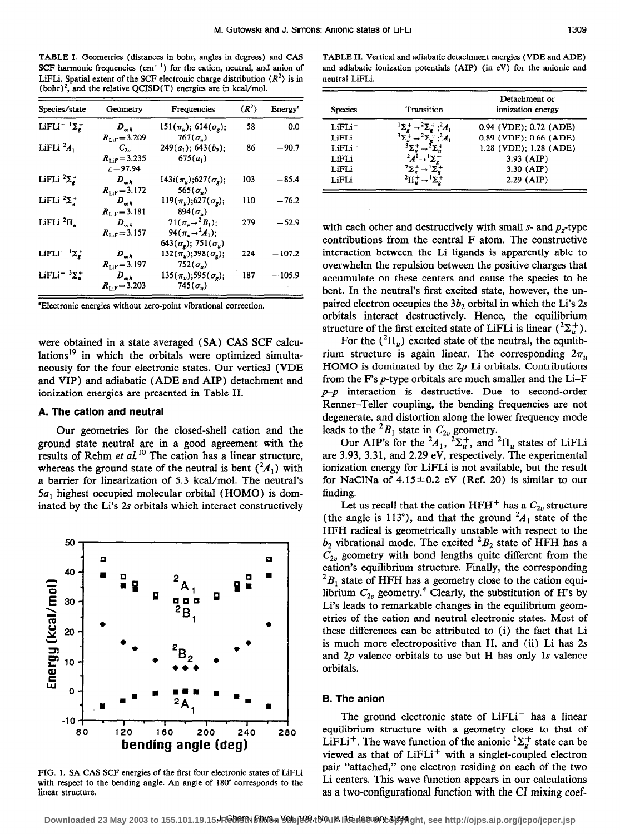TABLE I. Geometries (distances in bohr, angles in degrees) and CAS SCF harmonic frequencies  $(cm<sup>-1</sup>)$  for the cation, neutral, and anion of LiFLi. Spatial extent of the SCF electronic charge distribution  $\langle R^2 \rangle$  is in (bohr)<sup>2</sup>, and the relative QCISD(T) energies are in kcal/mol.

| Species/state                                 | Geometry                 | Frequencies                                       | $\langle R^2 \rangle$ | Energy <sup>*</sup> |
|-----------------------------------------------|--------------------------|---------------------------------------------------|-----------------------|---------------------|
| LiFLi <sup>+</sup> ${}^{1}\Sigma_{g}^{+}$     | $D_{\omega h}$           | $151(\pi_{\mu}); 614(\sigma_{\rm g});$            | 58                    | 0.0                 |
|                                               | $R_{\text{LiF}} = 3.209$ | $767(\sigma_{\nu})$                               |                       |                     |
| LiFLi $^2A_1$                                 | $C_{2v}$                 | $249(a_1); 643(b_2);$                             | 86                    | $-90.7$             |
|                                               | $R_{\text{LiF}} = 3.235$ | $675(a_1)$                                        |                       |                     |
|                                               | $\mathcal{L} = 97.94$    |                                                   |                       |                     |
| LiFLi $^2\Sigma_g^+$                          | $D_{\omega h}$           | $143i(\pi_{\mu});627(\sigma_{\rm g});$            | 103                   | $-85.4$             |
|                                               | $R_{\text{L/F}} = 3.172$ | $565(\sigma_{\nu})$                               |                       |                     |
| LiFLi $^2\Sigma^+_\nu$                        | $D_{\omega h}$           | $119(\pi_{\nu});627(\sigma_{\nu});$               | 110                   | $-76.2$             |
|                                               | $R_{\text{LIF}} = 3.181$ | $894(\sigma_u)$                                   |                       |                     |
| LiFLi $^2\Pi_L$                               | $D_{\omega h}$           | $71(\pi_{u} \rightarrow 2B_{1});$                 | 279                   | $-52.9$             |
|                                               | $R_{\text{LiF}} = 3.157$ | 94 $(\pi_u \rightarrow A_1);$                     |                       |                     |
|                                               |                          | 643 $(\sigma_{\rm g})$ ; 751 $(\sigma_{\rm u})$   |                       |                     |
| LiFLi <sup>-1</sup> $\Sigma_{\mathbf{z}}^{+}$ | $D_{\omega h}$           | $132(\pi_{\mathbf{z}});598(\sigma_{\mathbf{z}});$ | 224                   | $-107.2$            |
|                                               | $R_{\text{LiF}} = 3.197$ | $752(\sigma_u)$                                   |                       |                     |
| LiFLi <sup>-3</sup> $\Sigma_{\mu}^{+}$        | $D_{\infty h}$           | $135(\pi_u); 595(\sigma_v);$                      | 187                   | $-105.9$            |
|                                               | $R_{\text{LiF}} = 3.203$ | $745(\sigma_{\nu})$                               |                       |                     |

'Electronic energies without zero-point vibrational correction.

were obtained in a state averaged (SA) CAS SCF calculations<sup>19</sup> in which the orbitals were optimized simultaneously for the four electronic states. Our vertical (VDE and VIP) and adiabatic (ADE and AIP) detachment and ionization energies are presented in Table II.

# A. The cation and neutral

Our geometries for the closed-shell cation and the ground state neutral are in a good agreement with the results of Rehm et  $al$ .<sup>10</sup> The cation has a linear structure, whereas the ground state of the neutral is bent  $({}^2A_1)$  with a barrier for linearization of 5.3 kcal/mol. The neutral's 5a, highest occupied molecular orbital (HOMO) is dominated by the Li's 2s orbitals which interact constructively



FIG. 1. SA CAS SCF energies of the first four electronic states of LiFLi with respect to the bending angle. An angle of 180" corresponds to the linear structure.

TABLE II. Vertical and adiabatic detachment energies (VDE and ADE) and adiabatic ionization potentials (AIP) (in eV) for the anionic and neutral LiFLi.

| <b>Species</b>     | Transition | Detachment or<br>ionization energy |
|--------------------|------------|------------------------------------|
| $LiFLi^-$          |            | 0.94 (VDE); 0.72 (ADE)             |
| $LiFLi^-$          |            | 0.89 (VDE); 0.66 (ADE)             |
| LiFLi <sup>-</sup> |            | 1.28 (VDE); 1.28 (ADE)             |
| LiFLi              |            | $3.93$ (AIP)                       |
| LiFLi              |            | 3.30 (AIP)                         |
| LiFLi              |            | $2.29$ (AIP)                       |

with each other and destructively with small  $s$ - and  $p<sub>r</sub>$ -type contributions from the central F atom. The constructive interaction between the Li ligands is apparently able to overwhelm the repulsion between the positive charges that accumulate on these centers and cause the species to be bent. In the neutral's first excited state, however, the unpaired electron occupies the  $3b_2$  orbital in which the Li's 2s orbitals interact destructively. Hence, the equilibrium structure of the first excited state of LiFLi is linear  $({}^2\Sigma^+_{\nu})$ .

For the  $({}^{2}\Pi_{u})$  excited state of the neutral, the equilibrium structure is again linear. The corresponding  $2\pi<sub>u</sub>$ HOMO is dominated by the  $2p$  Li orbitals. Contributions from the F's p-type orbitals are much smaller and the Li-F  $p-p$  interaction is destructive. Due to second-order Renner-Teller coupling, the bending frequencies are not degenerate, and distortion along the lower frequency mode leads to the  ${}^2B_1$  state in  $C_{2\nu}$  geometry.

Our AIP's for the  $A_1$ ,  $\Sigma_u^+$ , and  $\Pi_u$  states of LiFL are 3.93, 3.3 1, and 2.29 eV, respectively. The experimental ionization energy for LiFLi is not available, but the result for NaClNa of  $4.15 \pm 0.2$  eV (Ref. 20) is similar to our finding.

cation's equilibrium structure. Finally, the corresponding  ${}^{2}B_{1}$  state of HFH has a geometry close to the cation equilibrium  $C_{2n}$  geometry.<sup>4</sup> Clearly, the substitution of H's by Li's leads to remarkable changes in the equilibrium geometries of the cation and neutral electronic states. Most of these differences can be attributed to (i) the fact that Li is much more electropositive than H, and (ii) Li has 2s and  $2p$  valence orbitals to use but H has only 1s valence orbitals. Let us recall that the cation HFH<sup>+</sup> has a  $C_{2v}$  structure (the angle is 113°), and that the ground  ${}^{2}A_{1}$  state of the HFH radical is geometrically unstable with respect to the  $b_2$  vibrational mode. The excited  ${}^2B_2$  state of HFH has a  $C_{2v}$  geometry with bond lengths quite different from the

### **B. The anion**

The ground electronic state of  $LiFLi^-$  has a linear equilibrium structure with a geometry close to that of LiFLi<sup>+</sup>. The wave function of the anionic  ${}^{1}\Sigma_{g}^{+}$  state can be viewed as that of  $LiFLi^+$  with a singlet-coupled electron pair "attached," one electron residing on each of the two Li centers. This wave function appears in our calculations as a two-configurational function with the CI mixing coef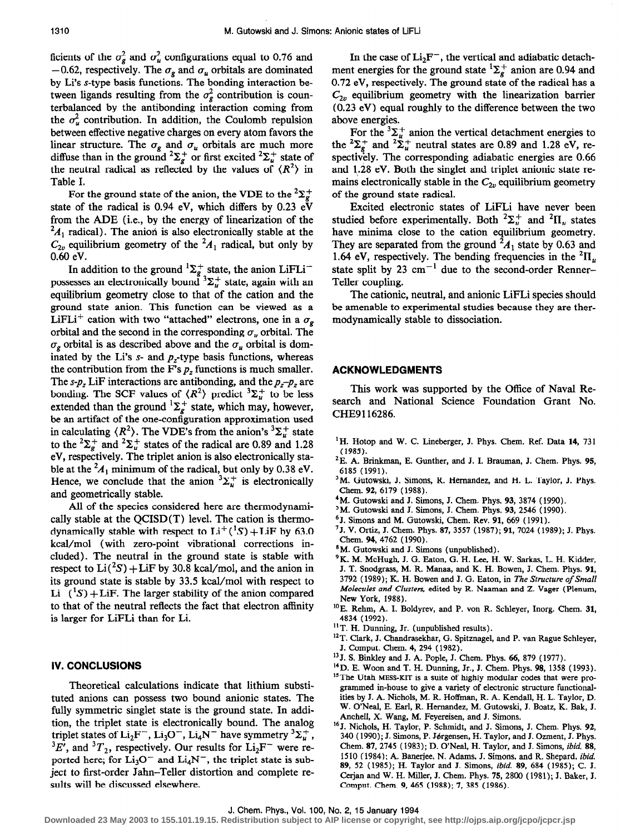ficients of the  $\sigma_g^2$  and  $\sigma_u^2$  configurations equal to 0.76 and  $-0.62$ , respectively. The  $\sigma_g$  and  $\sigma_u$  orbitals are dominated by Li's s-type basis functions. The bonding interaction between ligands resulting from the  $\sigma_g^2$  contribution is counterbalanced by the antibonding interaction coming from the  $\sigma_u^2$  contribution. In addition, the Coulomb repulsion between effective negative charges on every atom favors the linear structure. The  $\sigma_g$  and  $\sigma_u$  orbitals are much more diffuse than in the ground  ${}^{2}\Sigma_{g}^{+}$  or first excited  ${}^{2}\Sigma_{u}^{+}$  state of the neutral radical as reflected by the values of  $\langle R^2 \rangle$  in Table I.

For the ground state of the anion, the VDE to the  ${}^{2}\Sigma_{g}^{+}$ state of the radical is 0.94 eV, which differs by 0.23  $eV$ from the ADE (i.e., by the energy of linearization of the  $A_1$  radical). The anion is also electronically stable at the  $C_{2v}$  equilibrium geometry of the  ${}^{2}A_1$  radical, but only by 0.60 eV.

In addition to the ground  ${}^{1}\Sigma_{g}^{+}$  state, the anion LiFLi<sup>-</sup> possesses an electronically bound  ${}^{3}\Sigma_{u}^{+}$  state, again with an equilibrium geometry close to that of the cation and the ground state anion. This function can be viewed as a LiFLi<sup>+</sup> cation with two "attached" electrons, one in a  $\sigma_{\rm g}$ orbital and the second in the corresponding  $\sigma_{\mu}$  orbital. The  $\sigma_{\varphi}$  orbital is as described above and the  $\sigma_{\varphi}$  orbital is dominated by the Li's s- and  $p_z$ -type basis functions, whereas the contribution from the F's  $p<sub>z</sub>$  functions is much smaller. The s- $p_z$  LiF interactions are antibonding, and the  $p_z-p_z$  are bonding. The SCF values of  $\langle R^2 \rangle$  predict  ${}^3\Sigma_u^+$  to be less extended than the ground  $\Sigma_{\epsilon}^{+}$  state, which may, however, be an artifact of the one-configuration approximation used in calculating  $\langle R^2 \rangle$ . The VDE's from the anion's  ${}^3\Sigma^+_n$  state to the  ${}^{2}\Sigma_{g}^{+}$  and  ${}^{2}\Sigma_{u}^{+}$  states of the radical are 0.89 and 1.28 eV, respectively. The triplet anion is also electronically stable at the  ${}^2A_1$  minimum of the radical, but only by 0.38 eV. Hence, we conclude that the anion  ${}^{3}\Sigma_{u}^{+}$  is electronically and geometrically stable.

All of the species considered here are thermodynamically stable at the QCISD(T) level. The cation is thermodynamically stable with respect to  $Li^+({}^{1}S) + LiF$  by 63.0 kcal/mol (with zero-point vibrational corrections included). The neutral in the ground state is stable with respect to  $Li({}^2S) + LiF$  by 30.8 kcal/mol, and the anion in its ground state is stable by 33.5 kcal/mol with respect to  $Li^{-}(^{1}S) + LiF$ . The larger stability of the anion compared to that of the neutral reflects the fact that electron affinity is larger for LiFLi than for Li.

### IV. CONCLUSIONS

Theoretical calculations indicate that lithium substituted anions can possess two bound anionic states. The fully symmetric singlet state is the ground state. In addition, the triplet state is electronically bound. The analog triplet states of  $Li_2F^-$ ,  $Li_3O^-$ ,  $Li_4N^-$  have symmetry  ${}^3\Sigma_u^+$ ,  ${}^{3}E'$ , and  ${}^{3}T_{2}$ , respectively. Our results for  $Li_{2}F^{-}$  were reported here; for  $Li_3O^-$  and  $Li_4N^-$ , the triplet state is subject to first-order Jahn-Teller distortion and complete results will be discussed elsewhere.

In the case of  $Li<sub>2</sub>F^-$ , the vertical and adiabatic detachment energies for the ground state  ${}^{1}\Sigma_{g}^{+}$  anion are 0.94 and 0.72 eV, respectively. The ground state of the radical has a  $C_{2v}$  equilibrium geometry with the linearization barrier (0.23 eV) equal roughly to the difference between the two above energies.

For the  ${}^{3}\Sigma_{u}^{+}$  anion the vertical detachment energies to the  $\sum_{\alpha}^{\dagger}$  and  $\sum_{\alpha}^{\dagger}$  neutral states are 0.89 and 1.28 eV, respectively. The corresponding adiabatic energies are 0.66 and 1.28 eV. Both the singlet and triplet anionic state remains electronically stable in the  $C_{2v}$  equilibrium geometry of the ground state radical.

Excited electronic states of LiFLi have never been studied before experimentally. Both  ${}^{2}\Sigma_{u}^{+}$  and  ${}^{2}\Pi_{u}$  states have minima close to the cation equilibrium geometry. They are separated from the ground  ${}^2A_1$  state by 0.63 and 1.64 eV, respectively. The bending frequencies in the  ${}^{2}$ H<sub>u</sub> state split by 23  $\text{cm}^{-1}$  due to the second-order Renner-Teller coupling.

The cationic, neutral, and anionic LiFLi species should be amenable to experimental studies because they are thermodynamically stable to dissociation.

#### ACKNOWLEDGMENTS

This work was supported by the Office of Naval Research and National Science Foundation Grant No. CHE9116286.

- <sup>1</sup>H. Hotop and W. C. Lineberger, J. Phys. Chem. Ref. Data 14, 731 (1985).
- <sup>2</sup>E. A. Brinkman, E. Gunther, and J. I. Brauman, J. Chem. Phys. 95, 6185 (1991).
- <sup>3</sup>M. Gutowski, J. Simons, R. Hernandez, and H. L. Taylor, J. Phys. Chem. 92, 6179 (1988).
- $4$ M. Gutowski and J. Simons, J. Chem. Phys. 93, 3874 (1990).
- <sup>5</sup>M. Gutowski and J. Simons, J. Chem. Phys. 93, 2546 (1990).
- 6J. Simons and M. Gutowski, Chem. Rev. 91, 669 (1991).
- '5. V. Ortiz, J. Chem. Phys. 87, 3557 (1987); 91, 7024 (1989); J. Phys. Chem. 94, 4762 (1990).
- \*M. Gutowski and J. Simons (unpublished).
- <sup>9</sup>K. M. McHugh, J. G. Eaton, G. H. Lee, H. W. Sarkas, L. H. Kidder, J. T. Snodgrass, M. R. Manaa, and K. H. Bowen, 3. Chem. Phys. 91, 3792 (1989); K. H. Bowen and J. G. Eaton, in The Structure of Small Molecules and Clusters, edited by R. Naaman and Z. Vager (Plenum, New York, 1988).
- <sup>10</sup>E. Rehm, A. I. Boldyrev, and P. von R. Schleyer, Inorg. Chem. 31, 4834 ( 1992).
- <sup>11</sup> T. H. Dunning, Jr. (unpublished results).
- <sup>12</sup> T. Clark, J. Chandrasekhar, G. Spitznagel, and P. van Rague Schleyer, J. Comput. Chem. 4, 294 ( 1982).
- <sup>13</sup> J. S. Binkley and J. A. Pople, J. Chem. Phys. 66, 879 (1977).
- 14D. E. Woon and T. H. Dunning, Jr., J. Chem. Phys. 98, 1358 (1993). <sup>15</sup>The Utah MESS-KIT is a suite of highly modular codes that were programmed in-house to give a variety of electronic structure functionalities by J. A. Nichols, M. R. Hoffman, R. A. Kendall, H. L. Taylor, D. W. O'Neal, E. Earl, R. Hernandez, M. Gutowski, J. Boatz, K. Bak, J. Anchell, X. Wang, M. Feyereisen, and J. Simons.
- 16J. Nichols, H. Taylor, P. Schmidt, and J. Simons, J. Chem. Phys. 92, 340 (1990); J. Simons, P. Jørgensen, H. Taylor, and J. Ozment, J. Phys. Chem. 87,2745 (1983); D. O'Neal, H. Taylor, and J. Simons, ibid. 88, 1510 (1984); A. Banerjee, N. Adams, J. Simons, and R. Shepard, ibid. 89, 52 (1985); H. Taylor and J. Simons, ibid. 89, 684 (1985); C. J. Cerjan and W. H. Miller, J. Chem. Phys. 75, 2800 (1981); J. Baker, J. Comput. Chem. 9, 465 (1988); 7, 385 (1986).